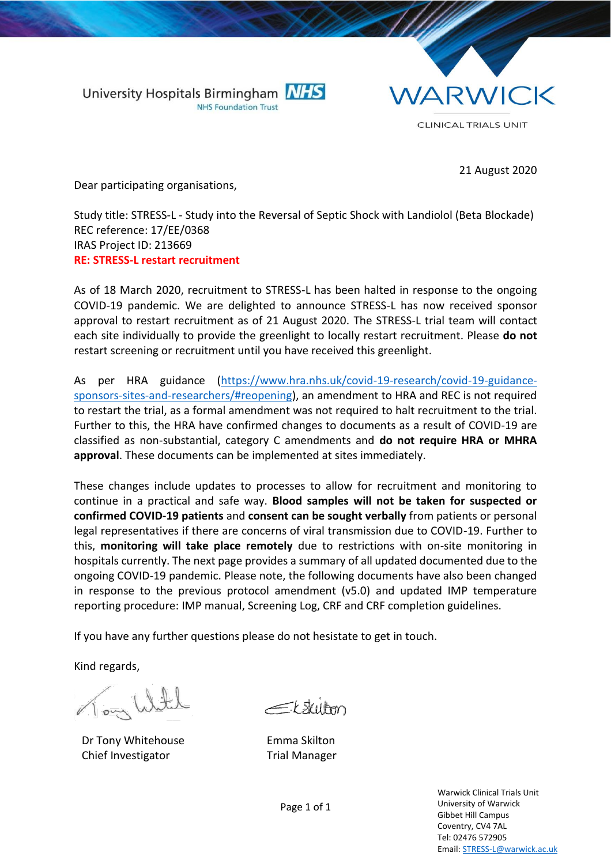



21 August 2020

Dear participating organisations,

Study title: STRESS-L - Study into the Reversal of Septic Shock with Landiolol (Beta Blockade) REC reference: 17/EE/0368 IRAS Project ID: 213669 **RE: STRESS-L restart recruitment** 

As of 18 March 2020, recruitment to STRESS-L has been halted in response to the ongoing COVID-19 pandemic. We are delighted to announce STRESS-L has now received sponsor approval to restart recruitment as of 21 August 2020. The STRESS-L trial team will contact each site individually to provide the greenlight to locally restart recruitment. Please **do not** restart screening or recruitment until you have received this greenlight.

As per HRA guidance [\(https://www.hra.nhs.uk/covid-19-research/covid-19-guidance](https://www.hra.nhs.uk/covid-19-research/covid-19-guidance-sponsors-sites-and-researchers/#reopening)[sponsors-sites-and-researchers/#reopening\)](https://www.hra.nhs.uk/covid-19-research/covid-19-guidance-sponsors-sites-and-researchers/#reopening), an amendment to HRA and REC is not required to restart the trial, as a formal amendment was not required to halt recruitment to the trial. Further to this, the HRA have confirmed changes to documents as a result of COVID-19 are classified as non-substantial, category C amendments and **do not require HRA or MHRA approval**. These documents can be implemented at sites immediately.

These changes include updates to processes to allow for recruitment and monitoring to continue in a practical and safe way. **Blood samples will not be taken for suspected or confirmed COVID-19 patients** and **consent can be sought verbally** from patients or personal legal representatives if there are concerns of viral transmission due to COVID-19. Further to this, **monitoring will take place remotely** due to restrictions with on-site monitoring in hospitals currently. The next page provides a summary of all updated documented due to the ongoing COVID-19 pandemic. Please note, the following documents have also been changed in response to the previous protocol amendment (v5.0) and updated IMP temperature reporting procedure: IMP manual, Screening Log, CRF and CRF completion guidelines.

If you have any further questions please do not hesistate to get in touch.

Kind regards,

lately cool

Dr Tony Whitehouse Chief Investigator

 $\equiv$ t skilten

Emma Skilton Trial Manager

Warwick Clinical Trials Unit University of Warwick Gibbet Hill Campus Coventry, CV4 7AL Tel: 02476 572905 Email[: STRESS-L@warwick.ac.uk](mailto:PIPS-1@warwick.ac.uk)

Page 1 of 1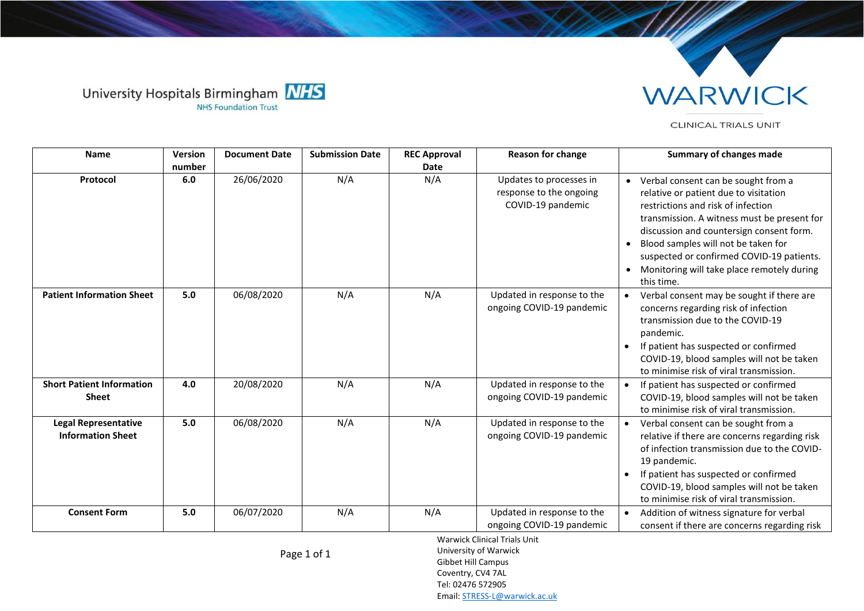



CLINICAL TRIALS UNIT

| <b>Name</b>                                             | <b>Version</b> | <b>Document Date</b> | <b>Submission Date</b> | <b>REC Approval</b> | <b>Reason for change</b>                                                | <b>Summary of changes made</b>                                                                                                                                                                                                                                                                                                                                  |
|---------------------------------------------------------|----------------|----------------------|------------------------|---------------------|-------------------------------------------------------------------------|-----------------------------------------------------------------------------------------------------------------------------------------------------------------------------------------------------------------------------------------------------------------------------------------------------------------------------------------------------------------|
|                                                         | number         |                      |                        | Date                |                                                                         |                                                                                                                                                                                                                                                                                                                                                                 |
| Protocol                                                | 6.0            | 26/06/2020           | N/A                    | N/A                 | Updates to processes in<br>response to the ongoing<br>COVID-19 pandemic | • Verbal consent can be sought from a<br>relative or patient due to visitation<br>restrictions and risk of infection<br>transmission. A witness must be present for<br>discussion and countersign consent form.<br>Blood samples will not be taken for<br>suspected or confirmed COVID-19 patients.<br>Monitoring will take place remotely during<br>this time. |
| <b>Patient Information Sheet</b>                        | 5.0            | 06/08/2020           | N/A                    | N/A                 | Updated in response to the<br>ongoing COVID-19 pandemic                 | Verbal consent may be sought if there are<br>concerns regarding risk of infection<br>transmission due to the COVID-19<br>pandemic.<br>If patient has suspected or confirmed<br>COVID-19, blood samples will not be taken<br>to minimise risk of viral transmission.                                                                                             |
| <b>Short Patient Information</b><br><b>Sheet</b>        | 4.0            | 20/08/2020           | N/A                    | N/A                 | Updated in response to the<br>ongoing COVID-19 pandemic                 | If patient has suspected or confirmed<br>COVID-19, blood samples will not be taken<br>to minimise risk of viral transmission.                                                                                                                                                                                                                                   |
| <b>Legal Representative</b><br><b>Information Sheet</b> | 5.0            | 06/08/2020           | N/A                    | N/A                 | Updated in response to the<br>ongoing COVID-19 pandemic                 | Verbal consent can be sought from a<br>relative if there are concerns regarding risk<br>of infection transmission due to the COVID-<br>19 pandemic.<br>If patient has suspected or confirmed<br>COVID-19, blood samples will not be taken<br>to minimise risk of viral transmission.                                                                            |
| <b>Consent Form</b>                                     | 5.0            | 06/07/2020           | N/A                    | N/A                 | Updated in response to the<br>ongoing COVID-19 pandemic                 | Addition of witness signature for verbal<br>consent if there are concerns regarding risk                                                                                                                                                                                                                                                                        |

Page 1 of 1

Warwick Clinical Trials Unit University of Warwick Gibbet Hill Campus Coventry, CV4 7AL Tel: 02476 572905 Email[: STRESS-L@warwick.ac.uk](mailto:PIPS-1@warwick.ac.uk)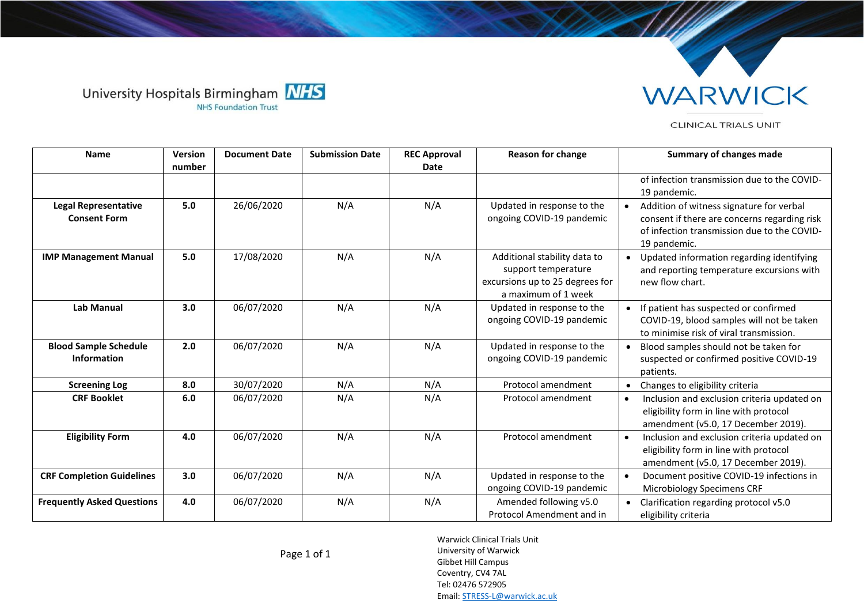



## CLINICAL TRIALS UNIT

| <b>Name</b>                                        | Version | <b>Document Date</b> | <b>Submission Date</b> | <b>REC Approval</b> | <b>Reason for change</b>                                                                                      | <b>Summary of changes made</b>                                                                                                                          |
|----------------------------------------------------|---------|----------------------|------------------------|---------------------|---------------------------------------------------------------------------------------------------------------|---------------------------------------------------------------------------------------------------------------------------------------------------------|
|                                                    | number  |                      |                        | <b>Date</b>         |                                                                                                               | of infection transmission due to the COVID-<br>19 pandemic.                                                                                             |
| <b>Legal Representative</b><br><b>Consent Form</b> | 5.0     | 26/06/2020           | N/A                    | N/A                 | Updated in response to the<br>ongoing COVID-19 pandemic                                                       | Addition of witness signature for verbal<br>consent if there are concerns regarding risk<br>of infection transmission due to the COVID-<br>19 pandemic. |
| <b>IMP Management Manual</b>                       | 5.0     | 17/08/2020           | N/A                    | N/A                 | Additional stability data to<br>support temperature<br>excursions up to 25 degrees for<br>a maximum of 1 week | Updated information regarding identifying<br>and reporting temperature excursions with<br>new flow chart.                                               |
| <b>Lab Manual</b>                                  | 3.0     | 06/07/2020           | N/A                    | N/A                 | Updated in response to the<br>ongoing COVID-19 pandemic                                                       | If patient has suspected or confirmed<br>COVID-19, blood samples will not be taken<br>to minimise risk of viral transmission.                           |
| <b>Blood Sample Schedule</b><br><b>Information</b> | 2.0     | 06/07/2020           | N/A                    | N/A                 | Updated in response to the<br>ongoing COVID-19 pandemic                                                       | Blood samples should not be taken for<br>suspected or confirmed positive COVID-19<br>patients.                                                          |
| <b>Screening Log</b>                               | 8.0     | 30/07/2020           | N/A                    | N/A                 | Protocol amendment                                                                                            | Changes to eligibility criteria                                                                                                                         |
| <b>CRF Booklet</b>                                 | 6.0     | 06/07/2020           | N/A                    | N/A                 | Protocol amendment                                                                                            | Inclusion and exclusion criteria updated on<br>$\bullet$<br>eligibility form in line with protocol<br>amendment (v5.0, 17 December 2019).               |
| <b>Eligibility Form</b>                            | 4.0     | 06/07/2020           | N/A                    | N/A                 | Protocol amendment                                                                                            | Inclusion and exclusion criteria updated on<br>$\bullet$<br>eligibility form in line with protocol<br>amendment (v5.0, 17 December 2019).               |
| <b>CRF Completion Guidelines</b>                   | 3.0     | 06/07/2020           | N/A                    | N/A                 | Updated in response to the<br>ongoing COVID-19 pandemic                                                       | Document positive COVID-19 infections in<br>Microbiology Specimens CRF                                                                                  |
| <b>Frequently Asked Questions</b>                  | 4.0     | 06/07/2020           | N/A                    | N/A                 | Amended following v5.0<br>Protocol Amendment and in                                                           | Clarification regarding protocol v5.0<br>eligibility criteria                                                                                           |

Warwick Clinical Trials Unit University of Warwick Gibbet Hill Campus Coventry, CV4 7AL Tel: 02476 572905 Email[: STRESS-L@warwick.ac.uk](mailto:PIPS-1@warwick.ac.uk)